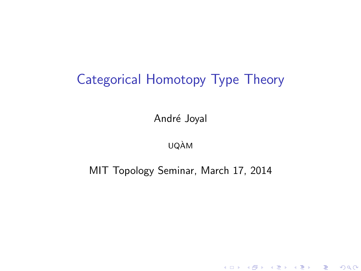# Categorical Homotopy Type Theory

André Joyal

UQAM`

MIT Topology Seminar, March 17, 2014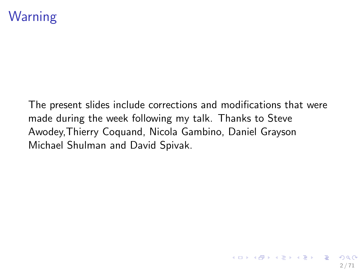## Warning

The present slides include corrections and modifications that were made during the week following my talk. Thanks to Steve Awodey,Thierry Coquand, Nicola Gambino, Daniel Grayson Michael Shulman and David Spivak.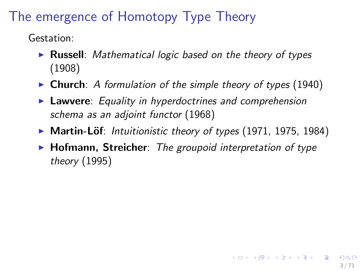# The emergence of Homotopy Type Theory

Gestation:

- **Russell**: *Mathematical logic based on the theory of types* (1908)
- ▶ Church: *A formulation of the simple theory of types* (1940)
- **Lawvere:** Equality in hyperdoctrines and comprehension *schema as an adjoint functor* (1968)
- ▶ Martin-Löf: *Intuitionistic theory of types* (1971, 1975, 1984)
- ► **Hofmann, Streicher**: *The groupoid interpretation of type theory* (1995)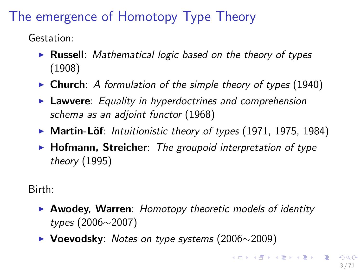# The emergence of Homotopy Type Theory

Gestation:

- **Russell**: *Mathematical logic based on the theory of types* (1908)
- ▶ Church: *A formulation of the simple theory of types* (1940)
- **Lawvere:** Equality in hyperdoctrines and comprehension *schema as an adjoint functor* (1968)
- ▶ Martin-Löf: *Intuitionistic theory of types* (1971, 1975, 1984)
- ► **Hofmann, Streicher**: *The groupoid interpretation of type theory* (1995)

Birth:

- **Awodey, Warren:** *Homotopy theoretic models of identity types* (2006⇠2007)
- ▶ Voevodsky: *Notes on type systems* (2006∼2009)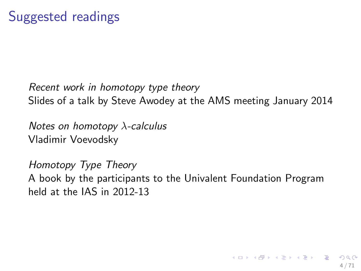#### *Recent work in homotopy type theory* Slides of a talk by Steve Awodey at the AMS meeting January 2014

*Notes on homotopy*  $\lambda$ -calculus Vladimir Voevodsky

*Homotopy Type Theory* A book by the participants to the Univalent Foundation Program held at the IAS in 2012-13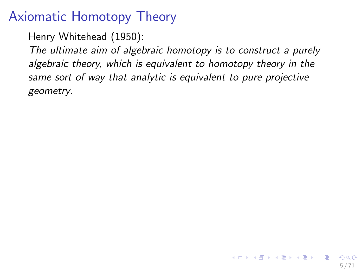## Axiomatic Homotopy Theory

Henry Whitehead (1950):

*The ultimate aim of algebraic homotopy is to construct a purely algebraic theory, which is equivalent to homotopy theory in the same sort of way that analytic is equivalent to pure projective geometry*.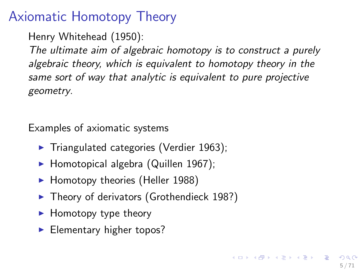## Axiomatic Homotopy Theory

Henry Whitehead (1950):

*The ultimate aim of algebraic homotopy is to construct a purely algebraic theory, which is equivalent to homotopy theory in the same sort of way that analytic is equivalent to pure projective geometry*.

Examples of axiomatic systems

- $\blacktriangleright$  Triangulated categories (Verdier 1963);
- $\blacktriangleright$  Homotopical algebra (Quillen 1967);
- $\blacktriangleright$  Homotopy theories (Heller 1988)
- $\blacktriangleright$  Theory of derivators (Grothendieck 198?)
- $\blacktriangleright$  Homotopy type theory
- $\blacktriangleright$  Elementary higher topos?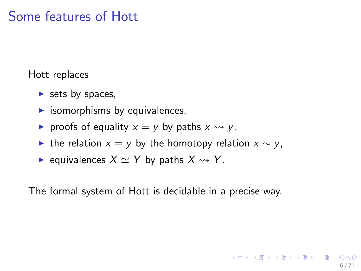## Some features of Hott

Hott replaces

- $\triangleright$  sets by spaces,
- $\blacktriangleright$  isomorphisms by equivalences,
- roofs of equality  $x = y$  by paths  $x \rightsquigarrow y$ ,
- If the relation  $x = y$  by the homotopy relation  $x \sim y$ ,
- $\blacktriangleright$  equivalences  $X \simeq Y$  by paths  $X \rightsquigarrow Y$ .

The formal system of Hott is decidable in a precise way.

6 / 71

イロト 不優 ト 不思 ト 不思 トー 温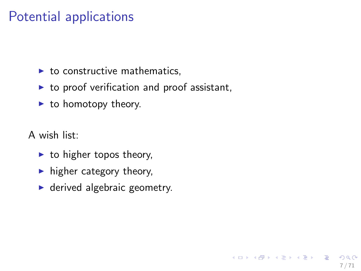## Potential applications

- $\blacktriangleright$  to constructive mathematics.
- $\blacktriangleright$  to proof verification and proof assistant,

7 / 71

イロト 不優 ト 不思 ト 不思 トー 理

- $\blacktriangleright$  to homotopy theory.
- A wish list:
	- $\blacktriangleright$  to higher topos theory,
	- $\blacktriangleright$  higher category theory,
	- $\blacktriangleright$  derived algebraic geometry.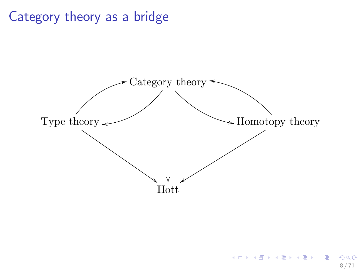## Category theory as a bridge

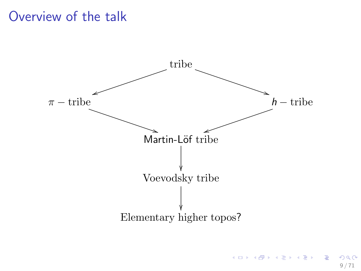### Overview of the talk



 $\Omega$ 9 / 71

B

メロメ メ御き メミメ メミメ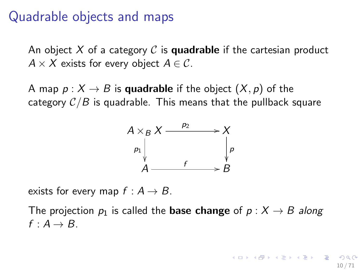### Quadrable objects and maps

An object *X* of a category *C* is quadrable if the cartesian product  $A \times X$  exists for every object  $A \in \mathcal{C}$ .

A map  $p: X \to B$  is quadrable if the object  $(X, p)$  of the category  $C/B$  is quadrable. This means that the pullback square



exists for every map  $f : A \rightarrow B$ .

The projection  $p_1$  is called the **base change** of  $p : X \rightarrow B$  along  $f: A \rightarrow B$ .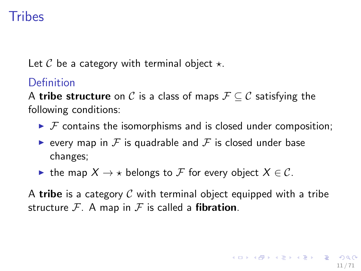# Tribes

Let  $C$  be a category with terminal object  $\star$ .

#### **Definition**

A **tribe structure** on C is a class of maps  $\mathcal{F} \subseteq \mathcal{C}$  satisfying the following conditions:

- $\triangleright$  *F* contains the isomorphisms and is closed under composition;
- **Example 1** every map in F is quadrable and F is closed under base changes;
- If the map  $X \to \star$  belongs to F for every object  $X \in \mathcal{C}$ .

A tribe is a category *C* with terminal object equipped with a tribe structure  $\mathcal{F}$ . A map in  $\mathcal{F}$  is called a **fibration**.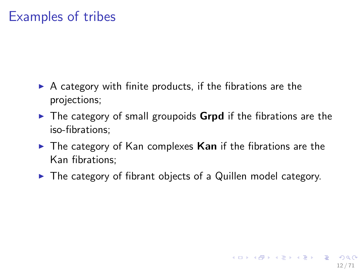## Examples of tribes

- $\triangleright$  A category with finite products, if the fibrations are the projections;
- $\triangleright$  The category of small groupoids **Grpd** if the fibrations are the iso-fibrations;
- $\triangleright$  The category of Kan complexes Kan if the fibrations are the Kan fibrations;
- $\blacktriangleright$  The category of fibrant objects of a Quillen model category.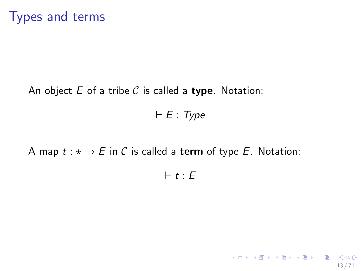An object *E* of a tribe *C* is called a type. Notation:

 $F \vdash E : Type$ 

A map  $t : \star \to E$  in C is called a term of type E. Notation:

 $F \cdot t : E$ 

13 / 71

K ロ ▶ K @ ▶ K 할 ▶ K 할 ▶ → 할 → 9 Q @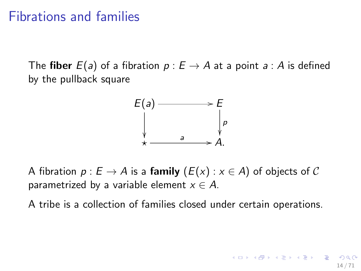#### Fibrations and families

The fiber  $E(a)$  of a fibration  $p : E \rightarrow A$  at a point  $a : A$  is defined by the pullback square



A fibration  $p : E \to A$  is a **family**  $(E(x) : x \in A)$  of objects of C parametrized by a variable element  $x \in A$ .

A tribe is a collection of families closed under certain operations.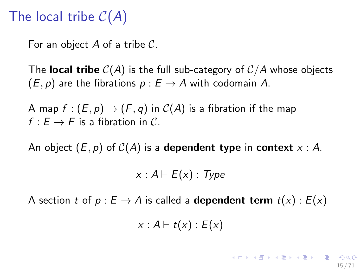# The local tribe *C*(*A*)

For an object *A* of a tribe *C*.

The **local tribe**  $C(A)$  is the full sub-category of  $C/A$  whose objects  $(E, p)$  are the fibrations  $p : E \rightarrow A$  with codomain *A*.

A map  $f : (E, p) \rightarrow (F, q)$  in  $C(A)$  is a fibration if the map  $f: E \to F$  is a fibration in C.

An object  $(E, p)$  of  $C(A)$  is a **dependent type** in **context**  $x : A$ .

 $x : A \vdash E(x) : Type$ 

A section *t* of  $p : E \to A$  is called a **dependent term**  $t(x) : E(x)$ 

 $x : A \vdash t(x) : E(x)$ 

15 / 71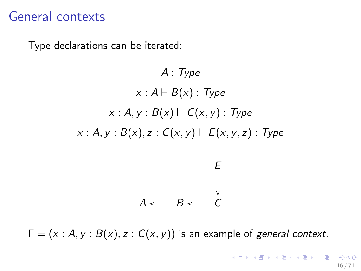### General contexts

Type declarations can be iterated:

*A* : *Type*  $x : A \vdash B(x) : Type$ *x* :  $A, y : B(x) \vdash C(x, y) : Type$ *x* : *A*, *y* : *B*(*x*), *z* : *C*(*x*, *y*)  $\vdash$  *E*(*x*, *y*, *z*) : *Type E* ✏✏  $A \leftarrow B \leftarrow C$ 

 $\Gamma = (x : A, y : B(x), z : C(x, y))$  is an example of *general context*.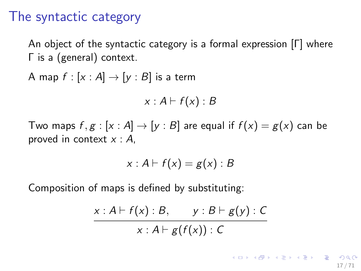#### The syntactic category

An object of the syntactic category is a formal expression  $[\Gamma]$  where  $\Gamma$  is a (general) context.

A map  $f : [x : A] \rightarrow [y : B]$  is a term

$$
x:A\vdash f(x):B
$$

Two maps  $f, g : [x : A] \rightarrow [y : B]$  are equal if  $f(x) = g(x)$  can be proved in context *x* : *A*,

$$
x: A \vdash f(x) = g(x): B
$$

Composition of maps is defined by substituting:

$$
\frac{x:A\vdash f(x):B, y:B\vdash g(y):C}{x:A\vdash g(f(x)):C}
$$

17 / 71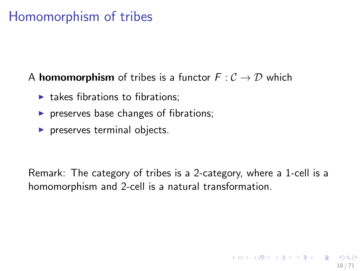# Homomorphism of tribes

#### A **homomorphism** of tribes is a functor  $F: C \rightarrow D$  which

- $\blacktriangleright$  takes fibrations to fibrations:
- $\triangleright$  preserves base changes of fibrations;
- $\blacktriangleright$  preserves terminal objects.

Remark: The category of tribes is a 2-category, where a 1-cell is a homomorphism and 2-cell is a natural transformation.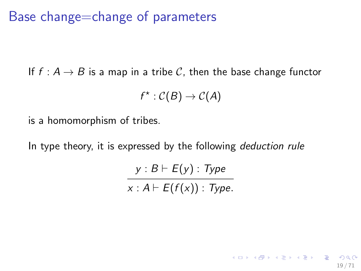Base change=change of parameters

If  $f : A \rightarrow B$  is a map in a tribe C, then the base change functor

$$
f^{\star}:\mathcal{C}(B)\to\mathcal{C}(A)
$$

is a homomorphism of tribes.

In type theory, it is expressed by the following *deduction rule*

 $y : B \vdash E(y) : Type$  $x : A \vdash E(f(x)) : Type.$ 

19 / 71

K ロ ▶ K @ ▶ K 할 ▶ K 할 ▶ ( 할 ) X 9 Q Q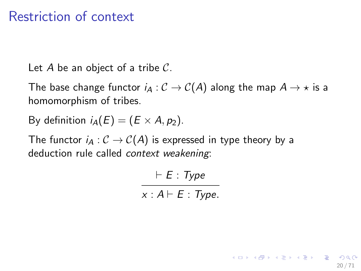## Restriction of context

Let *A* be an object of a tribe *C*.

The base change functor  $i_A : C \to C(A)$  along the map  $A \to \star$  is a homomorphism of tribes.

By definition  $i_A(E)=(E \times A, p_2)$ .

The functor  $i_A : C \to C(A)$  is expressed in type theory by a deduction rule called *context weakening*:

> ` *E* : *Type*  $x : A \vdash E : \text{Type.}$

> > 20 / 71

K ロ ▶ K @ ▶ K 할 > K 할 > → 할 → 9 Q Q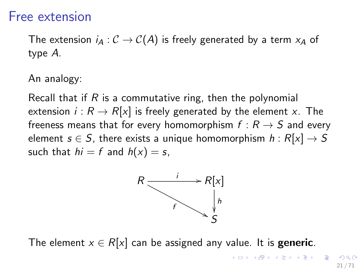#### Free extension

The extension  $i_A : C \to C(A)$  is freely generated by a term  $x_A$  of type *A*.

An analogy:

Recall that if *R* is a commutative ring, then the polynomial extension  $i : R \to R[x]$  is freely generated by the element *x*. The freeness means that for every homomorphism  $f : R \rightarrow S$  and every element  $s \in S$ , there exists a unique homomorphism  $h : R[x] \rightarrow S$ such that  $hi = f$  and  $h(x) = s$ ,



The element  $x \in R[x]$  can be assigned any value. It is **generic**.

イロト 不優 ト 不思 ト 不思 トー 理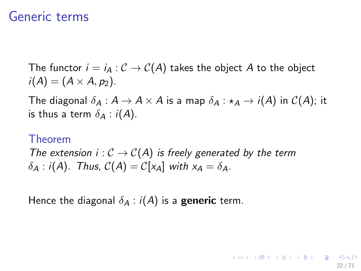#### Generic terms

The functor  $i = i_A : C \rightarrow C(A)$  takes the object A to the object  $i(A) = (A \times A, p_2).$ 

The diagonal  $\delta_A : A \to A \times A$  is a map  $\delta_A : \star_A \to i(A)$  in  $C(A)$ ; it is thus a term  $\delta_A$  : *i*(*A*).

#### Theorem

*The extension i* :  $C \rightarrow C(A)$  *is freely generated by the term*  $\delta_A$  : *i*(*A*). Thus,  $C(A) = C[x_A]$  with  $x_A = \delta_A$ .

Hence the diagonal  $\delta_A$  :  $i(A)$  is a **generic** term.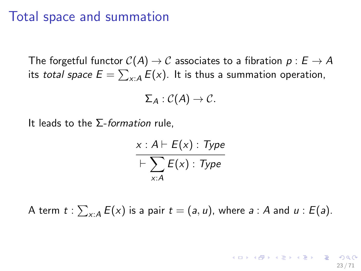#### Total space and summation

The forgetful functor  $C(A) \rightarrow C$  associates to a fibration  $p : E \rightarrow A$ its *total space*  $E = \sum_{x:A} E(x)$ *.* It is thus a summation operation,

$$
\Sigma_A : \mathcal{C}(A) \to \mathcal{C}.
$$

It leads to the  $\Sigma$ -*formation* rule,

$$
x : A \vdash E(x) : Type
$$
  
 
$$
\vdash \sum_{x : A} E(x) : Type
$$

A term  $t: \sum_{x:A} E(x)$  is a pair  $t = (a, u)$ , where  $a:A$  and  $u:E(a)$ .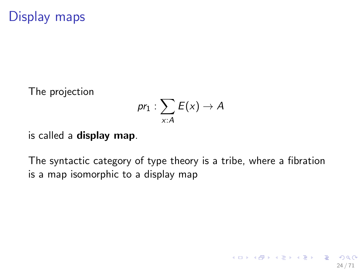## Display maps

The projection

$$
pr_1: \sum_{x:A} E(x) \to A
$$

is called a display map.

The syntactic category of type theory is a tribe, where a fibration is a map isomorphic to a display map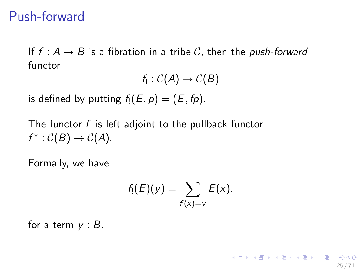### Push-forward

If  $f : A \rightarrow B$  is a fibration in a tribe C, then the *push-forward* functor

 $f_1$  :  $C(A) \rightarrow C(B)$ 

is defined by putting  $f_1(E, p) = (E, fp)$ .

The functor *f*! is left adjoint to the pullback functor  $f^* : C(B) \to C(A)$ .

Formally, we have

$$
f_!(E)(y)=\sum_{f(x)=y}E(x).
$$

for a term *y* : *B*.

25 / 71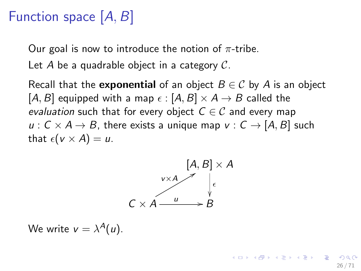# Function space [*A, B*]

Our goal is now to introduce the notion of  $\pi$ -tribe.

Let *A* be a quadrable object in a category *C*.

Recall that the **exponential** of an object  $B \in \mathcal{C}$  by A is an object [*A*, *B*] equipped with a map  $\epsilon$  : [*A*, *B*]  $\times$  *A*  $\rightarrow$  *B* called the *evaluation* such that for every object  $C \in \mathcal{C}$  and every map  $u: C \times A \rightarrow B$ , there exists a unique map  $v: C \rightarrow [A, B]$  such that  $\epsilon(\nu \times A) = u$ .



26 / 71

K ロンス 御 > ス ヨ > ス ヨ > ニ ヨ

We write  $v = \lambda^A(u)$ .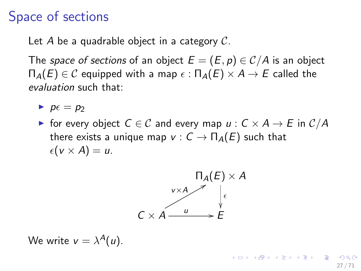## Space of sections

Let *A* be a quadrable object in a category *C*.

The *space of sections* of an object  $E = (E, p) \in C/A$  is an object  $\Pi_A(E) \in \mathcal{C}$  equipped with a map  $\epsilon : \Pi_A(E) \times A \rightarrow E$  called the *evaluation* such that:

 $\blacktriangleright$   $p \in p_2$ 

**F** for every object  $C \in \mathcal{C}$  and every map  $u : C \times A \rightarrow E$  in  $\mathcal{C}/A$ there exists a unique map  $v : C \to \Pi_A(E)$  such that  $\epsilon(\mathsf{v} \times \mathsf{A}) = \mathsf{u}.$ 



We write  $v = \lambda^{A}(u)$ .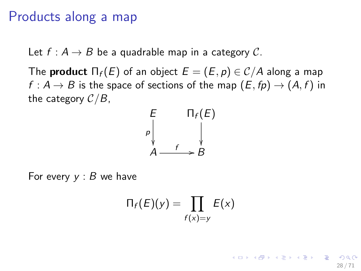#### Products along a map

Let  $f : A \rightarrow B$  be a quadrable map in a category C.

The **product**  $\prod_f(E)$  of an object  $E = (E, p) \in C/A$  along a map  $f : A \rightarrow B$  is the space of sections of the map  $(E, fp) \rightarrow (A, f)$  in the category *C/B*,



For every *y* : *B* we have

$$
\Pi_f(E)(y) = \prod_{f(x)=y} E(x)
$$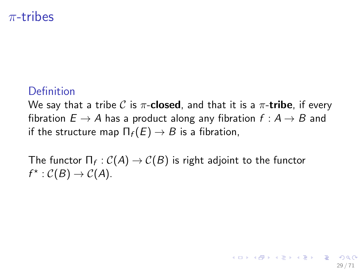#### $\pi$ -tribes

#### Definition

We say that a tribe C is  $\pi$ -**closed**, and that it is a  $\pi$ -**tribe**, if every fibration  $E \to A$  has a product along any fibration  $f : A \to B$  and if the structure map  $\Pi_f(E) \to B$  is a fibration,

29 / 71

K ロ X K 個 X K 重 X K 重 X (重 X ) 重 → の

The functor  $\Pi_f : C(A) \to C(B)$  is right adjoint to the functor  $f^* : C(B) \to C(A)$ .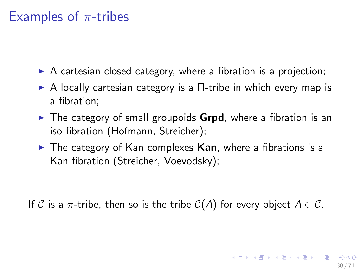### Examples of  $\pi$ -tribes

- $\triangleright$  A cartesian closed category, where a fibration is a projection;
- $\triangleright$  A locally cartesian category is a  $\Pi$ -tribe in which every map is a fibration;
- $\triangleright$  The category of small groupoids **Grpd**, where a fibration is an iso-fibration (Hofmann, Streicher);
- $\triangleright$  The category of Kan complexes **Kan**, where a fibrations is a Kan fibration (Streicher, Voevodsky);

If C is a  $\pi$ -tribe, then so is the tribe  $C(A)$  for every object  $A \in \mathcal{C}$ .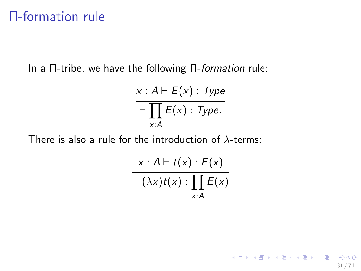## **n**-formation rule

In a  $\Pi$ -tribe, we have the following  $\Pi$ -formation rule:

$$
x : A \vdash E(x) : Type
$$
  
 
$$
\vdash \prod_{x:A} E(x) : Type.
$$

There is also a rule for the introduction of  $\lambda$ -terms:

$$
\frac{x:A\vdash t(x):E(x)}{\vdash (\lambda x)t(x): \prod_{x:A}E(x)}
$$

31 / 71

K ロ X x (個) X x を X x を X → 「重 → の Q Q →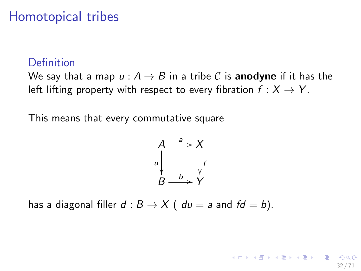## Homotopical tribes

#### Definition

We say that a map  $u : A \rightarrow B$  in a tribe C is **anodyne** if it has the left lifting property with respect to every fibration  $f : X \to Y$ .

This means that every commutative square

$$
A \xrightarrow{a} X
$$
\n
$$
u \downarrow \qquad f
$$
\n
$$
B \xrightarrow{b} Y
$$

has a diagonal filler  $d : B \to X$  (  $du = a$  and  $fd = b$ ).

K ロ X K @ X K 경 X X 경 X X 경 32 / 71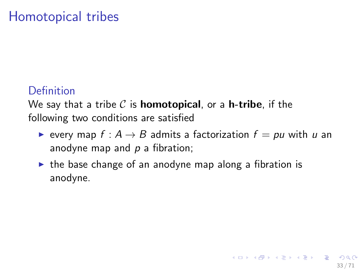## Homotopical tribes

#### **Definition**

We say that a tribe *C* is homotopical, or a h-tribe, if the following two conditions are satisfied

- $\blacktriangleright$  every map  $f : A \rightarrow B$  admits a factorization  $f = pu$  with *u* an anodyne map and *p* a fibration;
- $\triangleright$  the base change of an anodyne map along a fibration is anodyne.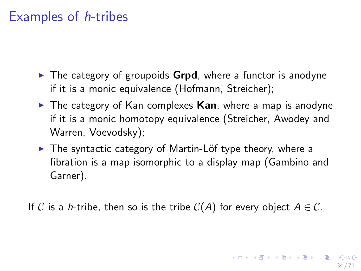### Examples of *h*-tribes

- $\triangleright$  The category of groupoids **Grpd**, where a functor is anodyne if it is a monic equivalence (Hofmann, Streicher);
- $\triangleright$  The category of Kan complexes Kan, where a map is anodyne if it is a monic homotopy equivalence (Streicher, Awodey and Warren, Voevodsky);
- ▶ The syntactic category of Martin-Löf type theory, where a fibration is a map isomorphic to a display map (Gambino and Garner).

If C is a *h*-tribe, then so is the tribe  $C(A)$  for every object  $A \in \mathcal{C}$ .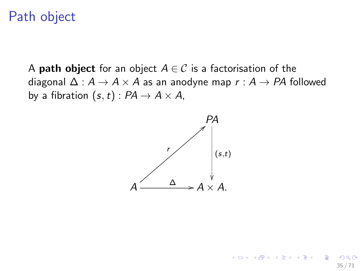### Path object

A **path object** for an object  $A \in \mathcal{C}$  is a factorisation of the diagonal  $\Delta : A \rightarrow A \times A$  as an anodyne map  $r : A \rightarrow PA$  followed by a fibration  $(s, t)$  :  $PA \rightarrow A \times A$ ,



35 / 71

 $\left\{ \begin{array}{ccc} 1 & 0 & 0 \\ 0 & 1 & 0 \end{array} \right\}$  ,  $\left\{ \begin{array}{ccc} 0 & 0 & 0 \\ 0 & 0 & 0 \end{array} \right\}$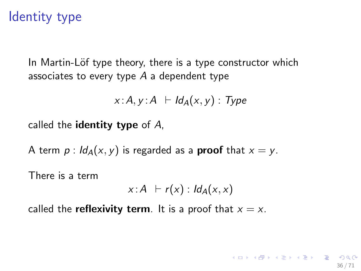### Identity type

In Martin-Löf type theory, there is a type constructor which associates to every type *A* a dependent type

$$
x:A, y:A \ \vdash \mathit{Id}_A(x,y) : \mathit{Type}
$$

called the identity type of *A*,

A term  $p: Id_A(x, y)$  is regarded as a **proof** that  $x = y$ .

There is a term

$$
x:A\; \vdash r(x): \mathsf{Id}_A(x,x)
$$

36 / 71

called the **reflexivity term**. It is a proof that  $x = x$ .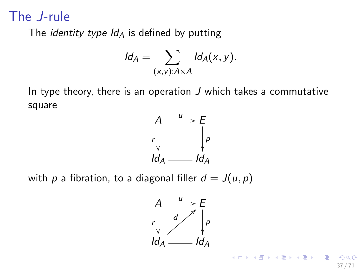### The *J*-rule

The *identity type Id<sup>A</sup>* is defined by putting

$$
Id_A=\sum_{(x,y):A\times A}Id_A(x,y).
$$

In type theory, there is an operation *J* which takes a commutative square



with *p* a fibration, to a diagonal filler  $d = J(u, p)$ 

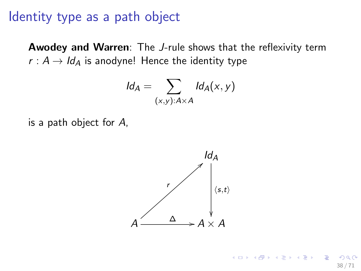#### Identity type as a path object

Awodey and Warren: The *J*-rule shows that the reflexivity term  $r : A \rightarrow Id_A$  is anodyne! Hence the identity type

$$
Id_A = \sum_{(x,y):A \times A} Id_A(x,y)
$$

is a path object for *A*,

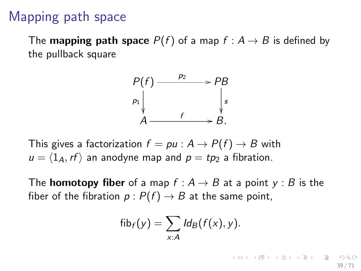## Mapping path space

The **mapping path space**  $P(f)$  of a map  $f : A \rightarrow B$  is defined by the pullback square



This gives a factorization  $f = pu : A \rightarrow P(f) \rightarrow B$  with  $u = \langle 1_A, rf \rangle$  an anodyne map and  $p = tp_2$  a fibration.

The **homotopy fiber** of a map  $f : A \rightarrow B$  at a point  $y : B$  is the fiber of the fibration  $p : P(f) \rightarrow B$  at the same point,

$$
\mathsf{fib}_f(y) = \sum_{x:A} \mathsf{Id}_B(f(x), y).
$$

イロト 不優 ト 不思 ト 不思 トー 温 39 / 71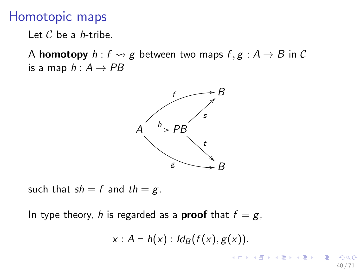#### Homotopic maps

Let *C* be a *h*-tribe.

A **homotopy**  $h : f \rightsquigarrow g$  between two maps  $f, g : A \rightarrow B$  in C is a map  $h: A \rightarrow PB$ 



such that  $sh = f$  and  $th = g$ .

In type theory, *h* is regarded as a **proof** that  $f = g$ ,

$$
x: A \vdash h(x): Id_B(f(x), g(x)).
$$

メロメ メ御き メミメ メミメ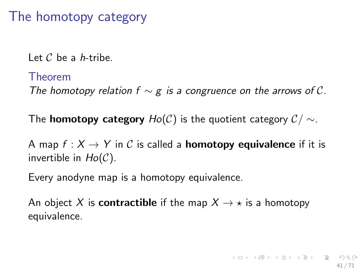# The homotopy category

Let *C* be a *h*-tribe.

#### Theorem

*The homotopy relation f*  $\sim$  *g is a congruence on the arrows of C.* 

The **homotopy category**  $Ho(C)$  is the quotient category  $C / \sim$ .

A map  $f: X \to Y$  in C is called a **homotopy equivalence** if it is invertible in *Ho*(*C*).

Every anodyne map is a homotopy equivalence.

An object X is **contractible** if the map  $X \rightarrow \star$  is a homotopy equivalence.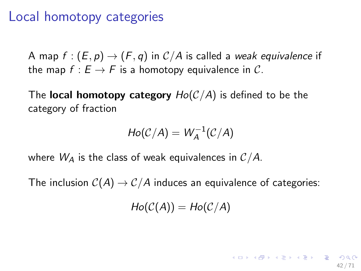### Local homotopy categories

A map  $f : (E, p) \rightarrow (F, q)$  in  $C/A$  is called a *weak equivalence* if the map  $f : E \to F$  is a homotopy equivalence in C.

The **local homotopy category**  $Ho(C/A)$  is defined to be the category of fraction

$$
Ho(C/A) = W_A^{-1}(C/A)
$$

where  $W_A$  is the class of weak equivalences in  $C/A$ .

The inclusion  $C(A) \rightarrow C/A$  induces an equivalence of categories:

 $Ho(C(A)) = Ho(C/A)$ 

42 / 71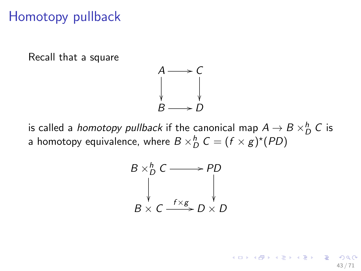### Homotopy pullback

Recall that a square



is called a *homotopy pullback* if the canonical map  $A \rightarrow B \times^h_D C$  is a homotopy equivalence, where  $B \times_D^h C = (f \times g)^*(PD)$ 

$$
B \times_D^h C \longrightarrow PD
$$
  
\n
$$
\downarrow \qquad \qquad \downarrow
$$
  
\n
$$
B \times C \xrightarrow{f \times g} D \times D
$$

43 / 71

K ロンス 御 > ス ヨ > ス ヨ > ニ ヨ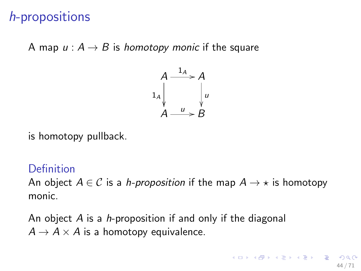# *h*-propositions

A map  $u : A \rightarrow B$  is *homotopy monic* if the square



is homotopy pullback.

#### Definition

An object  $A \in \mathcal{C}$  is a *h-proposition* if the map  $A \rightarrow \star$  is homotopy monic.

An object *A* is a *h*-proposition if and only if the diagonal  $A \rightarrow A \times A$  is a homotopy equivalence.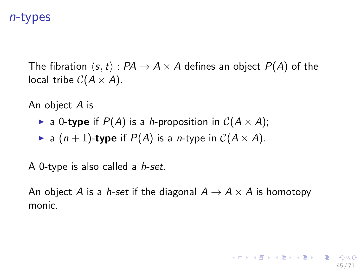#### *n*-types

The fibration  $\langle s, t \rangle$ :  $PA \rightarrow A \times A$  defines an object  $P(A)$  of the local tribe  $C(A \times A)$ .

An object *A* is

- $\triangleright$  a 0-type if  $P(A)$  is a *h*-proposition in  $C(A \times A)$ ;
- a  $(n+1)$ -type if  $P(A)$  is a *n*-type in  $C(A \times A)$ .

A 0-type is also called a *h*-*set*.

An object *A* is a *h*-set if the diagonal  $A \rightarrow A \times A$  is homotopy monic.

45 / 71

**KORK CRANEY KEY CRANE**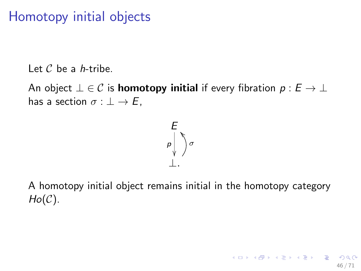# Homotopy initial objects

Let *C* be a *h*-tribe.

An object  $\bot \in \mathcal{C}$  is **homotopy initial** if every fibration  $p : E \to \bot$ has a section  $\sigma : \bot \to E$ ,



A homotopy initial object remains initial in the homotopy category *Ho*(*C*).

46 / 71

K ロ X K 個 X K 重 X K 重 X (重 X ) 重 → の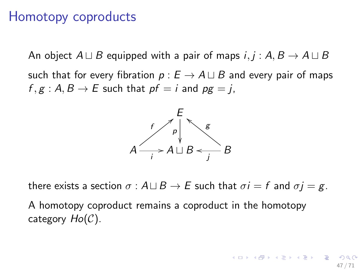#### Homotopy coproducts

An object  $A \sqcup B$  equipped with a pair of maps *i*, *j* :  $A, B \rightarrow A \sqcup B$ such that for every fibration  $p: E \to A \sqcup B$  and every pair of maps  $f, g: A, B \rightarrow E$  such that  $pf = i$  and  $pg = j$ ,



there exists a section  $\sigma$  :  $A \sqcup B \rightarrow E$  such that  $\sigma i = f$  and  $\sigma j = g$ .

A homotopy coproduct remains a coproduct in the homotopy category *Ho*(*C*).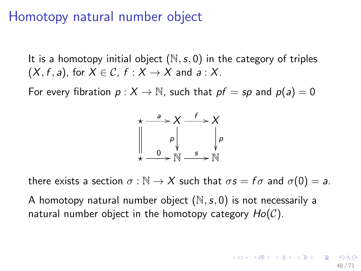#### Homotopy natural number object

It is a homotopy initial object (N*,s,* 0) in the category of triples  $(X, f, a)$ , for  $X \in \mathcal{C}$ ,  $f : X \rightarrow X$  and  $a : X$ .

For every fibration  $p: X \to \mathbb{N}$ , such that  $pf = sp$  and  $p(a) = 0$ 



there exists a section  $\sigma : \mathbb{N} \to X$  such that  $\sigma s = f \sigma$  and  $\sigma(0) = a$ .

A homotopy natural number object (N*,s,* 0) is not necessarily a natural number object in the homotopy category *Ho*(*C*).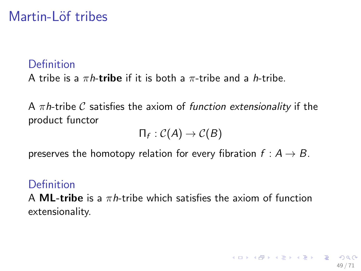# Martin-Löf tribes

#### Definition

A tribe is a  $\pi h$ -tribe if it is both a  $\pi$ -tribe and a *h*-tribe.

A  $\pi h$ -tribe C satisfies the axiom of *function extensionality* if the product functor

$$
\Pi_f : \mathcal{C}(A) \to \mathcal{C}(B)
$$

preserves the homotopy relation for every fibration  $f : A \rightarrow B$ .

#### Definition

A **ML-tribe** is a  $\pi h$ -tribe which satisfies the axiom of function extensionality.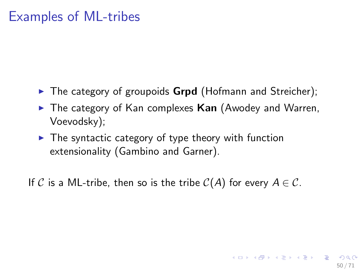### Examples of ML-tribes

- $\triangleright$  The category of groupoids **Grpd** (Hofmann and Streicher);
- $\blacktriangleright$  The category of Kan complexes Kan (Awodey and Warren, Voevodsky);

50 / 71

イロト 不優 ト 不思 ト 不思 トー 理

 $\triangleright$  The syntactic category of type theory with function extensionality (Gambino and Garner).

If C is a ML-tribe, then so is the tribe  $C(A)$  for every  $A \in \mathcal{C}$ .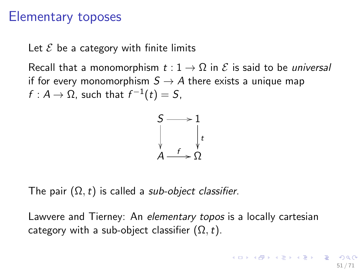#### Elementary toposes

Let  $\mathcal E$  be a category with finite limits

Recall that a monomorphism  $t: 1 \to \Omega$  in  $\mathcal E$  is said to be *universal* if for every monomorphism  $S \to A$  there exists a unique map  $f: A \rightarrow \Omega$ , such that  $f^{-1}(t) = S$ ,



The pair  $(\Omega, t)$  is called a *sub-object classifier*.

Lawvere and Tierney: An *elementary topos* is a locally cartesian category with a sub-object classifier  $(\Omega, t)$ .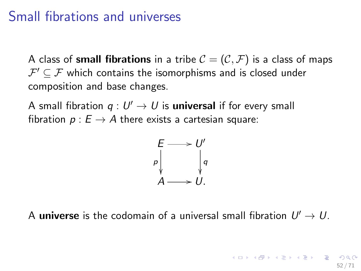### Small fibrations and universes

A class of **small fibrations** in a tribe  $C = (C, \mathcal{F})$  is a class of maps  $\mathcal{F}' \subset \mathcal{F}$  which contains the isomorphisms and is closed under composition and base changes.

A small fibration  $q: U' \rightarrow U$  is **universal** if for every small fibration  $p : E \to A$  there exists a cartesian square:



A universe is the codomain of a universal small fibration  $U' \rightarrow U$ .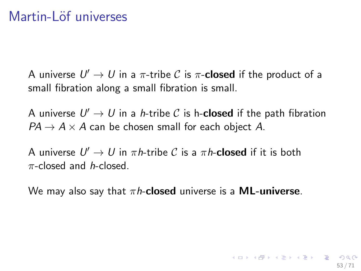### Martin-Löf universes

A universe  $U' \rightarrow U$  in a  $\pi$ -tribe C is  $\pi$ -**closed** if the product of a small fibration along a small fibration is small.

A universe  $U' \rightarrow U$  in a *h*-tribe C is h-closed if the path fibration  $PA \rightarrow A \times A$  can be chosen small for each object *A*.

A universe  $U' \rightarrow U$  in  $\pi h$ -tribe C is a  $\pi h$ -**closed** if it is both  $\pi$ -closed and *h*-closed.

We may also say that  $\pi h$ -closed universe is a **ML-universe**.

53 / 71

KOD KAP KERKER E KO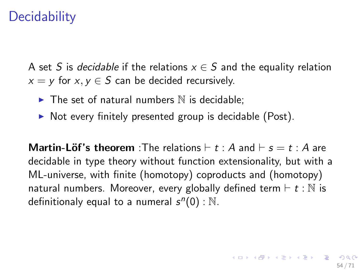# **Decidability**

A set *S* is *decidable* if the relations  $x \in S$  and the equality relation  $x = y$  for  $x, y \in S$  can be decided recursively.

- $\triangleright$  The set of natural numbers  $\mathbb N$  is decidable;
- $\triangleright$  Not every finitely presented group is decidable (Post).

**Martin-Löf's theorem** :The relations  $\vdash t : A$  and  $\vdash s = t : A$  are decidable in type theory without function extensionality, but with a ML-universe, with finite (homotopy) coproducts and (homotopy) natural numbers. Moreover, every globally defined term  $\vdash t : \mathbb{N}$  is definitionaly equal to a numeral  $s<sup>n</sup>(0)$ : N.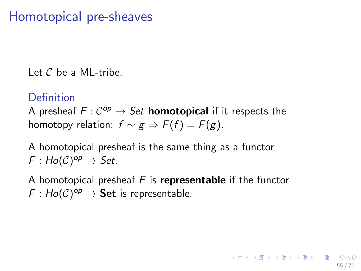## Homotopical pre-sheaves

Let *C* be a ML-tribe.

#### **Definition**

A presheaf  $F: C^{op} \to Set$  **homotopical** if it respects the homotopy relation:  $f \sim g \Rightarrow F(f) = F(g)$ .

A homotopical presheaf is the same thing as a functor  $F: Ho(\mathcal{C})^{op} \to Set.$ 

A homotopical presheaf *F* is representable if the functor  $F: Ho(\mathcal{C})^{op} \to \mathsf{Set}$  is representable.

55 / 71

KORKAN KERKER ET KO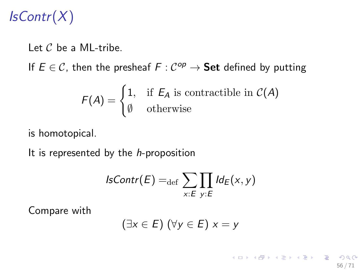# *IsContr*(*X*)

Let *C* be a ML-tribe.

If  $E \in \mathcal{C}$ , then the presheaf  $F : \mathcal{C}^{op} \to \mathbf{Set}$  defined by putting

$$
F(A) = \begin{cases} 1, & \text{if } E_A \text{ is contractible in } C(A) \\ \emptyset & \text{otherwise} \end{cases}
$$

is homotopical.

It is represented by the *h*-proposition

$$
IsContr(E) =_{\text{def}} \sum_{x:E} \prod_{y:E} \text{Id}_E(x, y)
$$

Compare with

$$
(\exists x \in E) (\forall y \in E) x = y
$$

イロト 不優 ト 不重 ト 不重 トー 重 56 / 71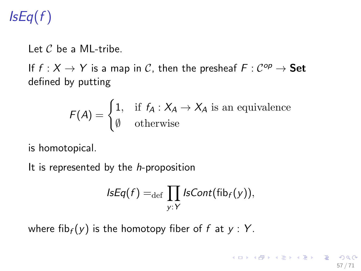# *IsEq*(*f* )

Let *C* be a ML-tribe.

If  $f : X \to Y$  is a map in C, then the presheaf  $F : C^{op} \to \mathbf{Set}$ defined by putting

$$
F(A) = \begin{cases} 1, & \text{if } f_A : X_A \to X_A \text{ is an equivalence} \\ \emptyset & \text{otherwise} \end{cases}
$$

is homotopical.

It is represented by the *h*-proposition

$$
IsEq(f) =_{def} \prod_{y:Y} IsCont(fib_f(y)),
$$

where  $fib_f(y)$  is the homotopy fiber of  $f$  at  $y : Y$ .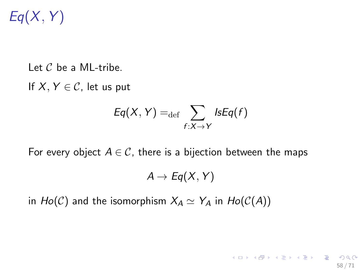# *Eq*(*X, Y* )

Let *C* be a ML-tribe.

If  $X, Y \in \mathcal{C}$ , let us put

$$
Eq(X, Y) =_{\text{def}} \sum_{f:X \to Y} IsEq(f)
$$

For every object  $A \in \mathcal{C}$ , there is a bijection between the maps

$$
A\to Eq(X, Y)
$$

58 / 71

K ロ ▶ K @ ▶ K 할 > K 할 > → 할 → 9 Q Q

in  $Ho(C)$  and the isomorphism  $X_A \simeq Y_A$  in  $Ho(C(A))$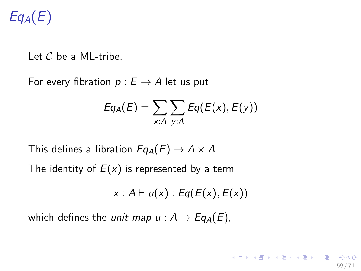# *EqA*(*E*)

Let *C* be a ML-tribe.

For every fibration  $p: E \to A$  let us put

$$
Eq_A(E) = \sum_{x:A} \sum_{y:A} Eq(E(x), E(y))
$$

This defines a fibration  $Eq_A(E) \rightarrow A \times A$ .

The identity of  $E(x)$  is represented by a term

 $x : A \vdash u(x) : Eq(E(x), E(x))$ 

which defines the *unit map*  $u : A \rightarrow Eq_A(E)$ ,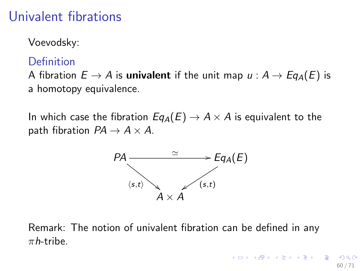# Univalent fibrations

Voevodsky:

#### Definition

A fibration  $E \to A$  is **univalent** if the unit map  $u : A \to Eq<sub>A</sub>(E)$  is a homotopy equivalence.

In which case the fibration  $Eq_A(E) \rightarrow A \times A$  is equivalent to the path fibration  $PA \rightarrow A \times A$ .



Remark: The notion of univalent fibration can be defined in any  $\pi$ *h*-tribe.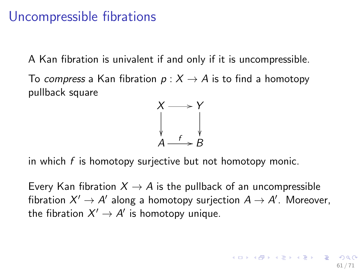### Uncompressible fibrations

A Kan fibration is univalent if and only if it is uncompressible.

To *compress* a Kan fibration  $p: X \rightarrow A$  is to find a homotopy pullback square



in which *f* is homotopy surjective but not homotopy monic.

Every Kan fibration  $X \to A$  is the pullback of an uncompressible fibration  $X' \to A'$  along a homotopy surjection  $A \to A'$ . Moreover, the fibration  $X' \to A'$  is homotopy unique.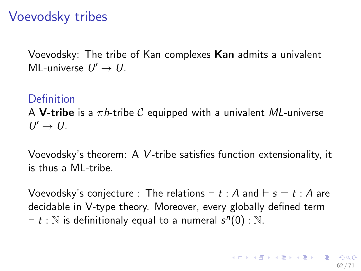## Voevodsky tribes

Voevodsky: The tribe of Kan complexes Kan admits a univalent ML-universe  $U' \rightarrow U$ .

#### **Definition**

A **V-tribe** is a  $\pi h$ -tribe C equipped with a univalent *ML*-universe  $U' \rightarrow U$ .

Voevodsky's theorem: A *V*-tribe satisfies function extensionality, it is thus a ML-tribe.

Voevodsky's conjecture : The relations  $\vdash t : A$  and  $\vdash s = t : A$  are decidable in V-type theory. Moreover, every globally defined term  $t : \mathbb{N}$  is definitionaly equal to a numeral  $s^n(0) : \mathbb{N}$ .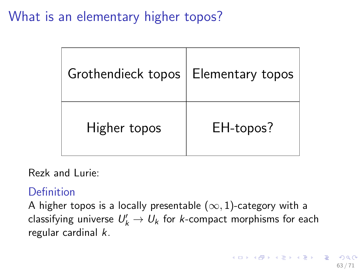What is an elementary higher topos?

| Grothendieck topos   Elementary topos |           |
|---------------------------------------|-----------|
| Higher topos                          | EH-topos? |

Rezk and Lurie:

#### Definition

A higher topos is a locally presentable  $(\infty, 1)$ -category with a  $\mathsf{classifying}$  universe  $\mathit{U}'_k \rightarrow \mathit{U}_k$  for  $k$ -compact morphisms for each regular cardinal *k*.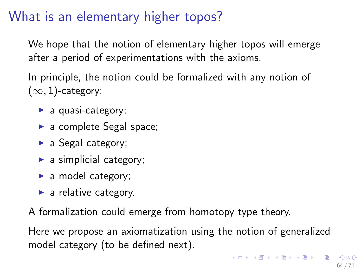# What is an elementary higher topos?

We hope that the notion of elementary higher topos will emerge after a period of experimentations with the axioms.

In principle, the notion could be formalized with any notion of  $(\infty, 1)$ -category:

- $\blacktriangleright$  a quasi-category;
- $\blacktriangleright$  a complete Segal space;
- $\blacktriangleright$  a Segal category;
- $\blacktriangleright$  a simplicial category;
- $\blacktriangleright$  a model category;
- $\blacktriangleright$  a relative category.

A formalization could emerge from homotopy type theory.

Here we propose an axiomatization using the notion of generalized model category (to be defined next).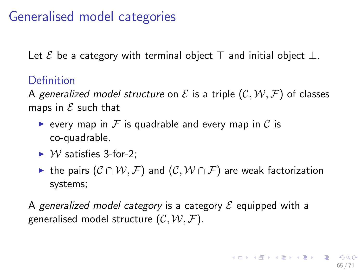# Generalised model categories

Let  $\mathcal E$  be a category with terminal object  $\top$  and initial object  $\bot$ .

#### Definition

A generalized model structure on  $\mathcal E$  is a triple  $(C, W, \mathcal F)$  of classes maps in *E* such that

- **Example 1** every map in F is quadrable and every map in C is co-quadrable.
- $\blacktriangleright$  *W* satisfies 3-for-2:
- If the pairs  $(C \cap W, \mathcal{F})$  and  $(C, W \cap \mathcal{F})$  are weak factorization systems;

A *generalized model category* is a category *E* equipped with a generalised model structure  $(C, W, F)$ .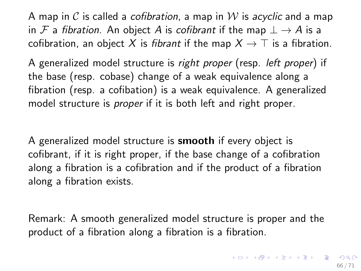A map in *C* is called a *cofibration*, a map in *W* is *acyclic* and a map in *F* a *fibration*. An object *A* is *cofibrant* if the map  $\perp \rightarrow A$  is a cofibration, an object X is *fibrant* if the map  $X \to \top$  is a fibration.

A generalized model structure is *right proper* (resp. *left proper*) if the base (resp. cobase) change of a weak equivalence along a fibration (resp. a cofibation) is a weak equivalence. A generalized model structure is *proper* if it is both left and right proper.

A generalized model structure is smooth if every object is cofibrant, if it is right proper, if the base change of a cofibration along a fibration is a cofibration and if the product of a fibration along a fibration exists.

Remark: A smooth generalized model structure is proper and the product of a fibration along a fibration is a fibration.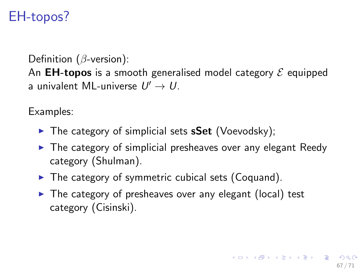# EH-topos?

Definition ( $\beta$ -version): An EH-topos is a smooth generalised model category *E* equipped a univalent ML-universe  $U' \rightarrow U$ .

Examples:

- $\triangleright$  The category of simplicial sets **sSet** (Voevodsky);
- $\triangleright$  The category of simplicial presheaves over any elegant Reedy category (Shulman).
- $\triangleright$  The category of symmetric cubical sets (Coquand).
- $\triangleright$  The category of presheaves over any elegant (local) test category (Cisinski).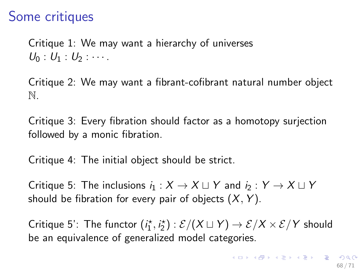## Some critiques

Critique 1: We may want a hierarchy of universes  $U_0$  :  $U_1$  :  $U_2$  :  $\cdots$  .

Critique 2: We may want a fibrant-cofibrant natural number object N.

Critique 3: Every fibration should factor as a homotopy surjection followed by a monic fibration.

Critique 4: The initial object should be strict.

Critique 5: The inclusions  $i_1 : X \to X \sqcup Y$  and  $i_2 : Y \to X \sqcup Y$ should be fibration for every pair of objects (*X, Y* ).

Critique 5': The functor  $(i_1^*, i_2^*) : \mathcal{E}/(X \sqcup Y) \to \mathcal{E}/X \times \mathcal{E}/Y$  should be an equivalence of generalized model categories.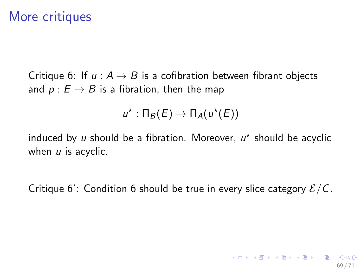### More critiques

Critique 6: If  $u : A \rightarrow B$  is a cofibration between fibrant objects and  $p : E \to B$  is a fibration, then the map

$$
u^*:\Pi_B(E)\to\Pi_A(u^*(E))
$$

induced by *u* should be a fibration. Moreover,  $u^*$  should be acyclic when *u* is acyclic.

Critique 6': Condition 6 should be true in every slice category *E/C*.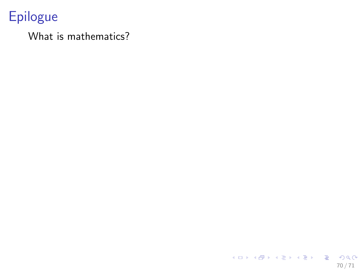# Epilogue

#### What is mathematics?

K ロ > K @ > K 할 > K 할 > 1 할 : ⊙ Q Q^ 70 / 71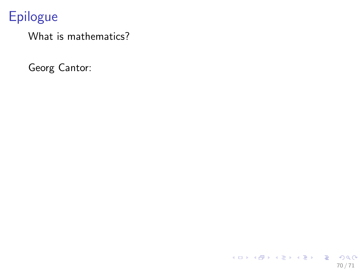What is mathematics?

Georg Cantor:

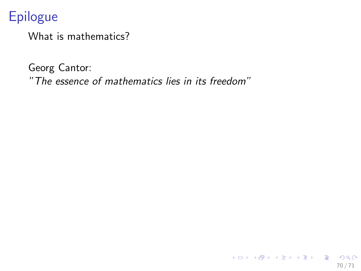What is mathematics?

Georg Cantor: *"The essence of mathematics lies in its freedom"*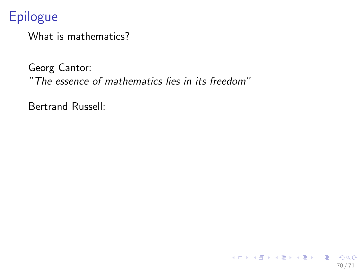What is mathematics?

Georg Cantor: *"The essence of mathematics lies in its freedom"*

70 / 71

K ロ X (日) X (日) X (日) X (日) X (日) X (日) X (日) X (日) X (日) X (日) X (日)

Bertrand Russell: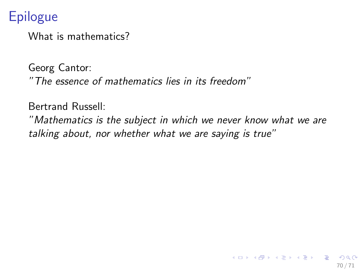What is mathematics?

Georg Cantor: *"The essence of mathematics lies in its freedom"*

Bertrand Russell:

*"Mathematics is the subject in which we never know what we are talking about, nor whether what we are saying is true"*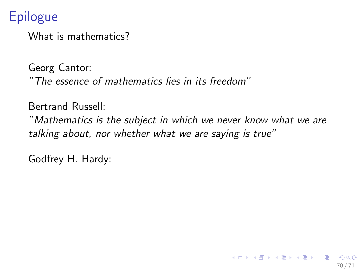What is mathematics?

Georg Cantor: *"The essence of mathematics lies in its freedom"*

Bertrand Russell:

*"Mathematics is the subject in which we never know what we are talking about, nor whether what we are saying is true"*

70 / 71

イロト 不優 ト 不思 ト 不思 トー 理

Godfrey H. Hardy: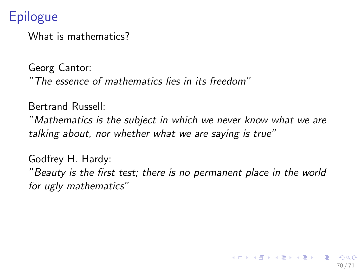What is mathematics?

Georg Cantor: *"The essence of mathematics lies in its freedom"*

Bertrand Russell:

*"Mathematics is the subject in which we never know what we are talking about, nor whether what we are saying is true"*

Godfrey H. Hardy: *"Beauty is the first test; there is no permanent place in the world for ugly mathematics"*

70 / 71

 $\mathbf{A} \cap \mathbf{D} \rightarrow \mathbf{A} \cap \mathbf{B} \rightarrow \mathbf{A} \oplus \mathbf{B} \rightarrow \mathbf{A} \oplus \mathbf{B} \rightarrow \mathbf{A} \oplus \mathbf{B}$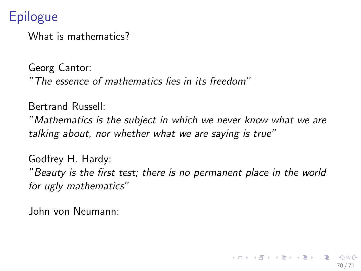What is mathematics?

Georg Cantor: *"The essence of mathematics lies in its freedom"*

Bertrand Russell:

*"Mathematics is the subject in which we never know what we are talking about, nor whether what we are saying is true"*

Godfrey H. Hardy: *"Beauty is the first test; there is no permanent place in the world for ugly mathematics"*

John von Neumann: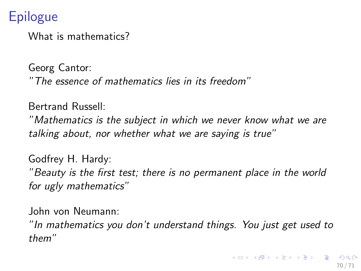What is mathematics?

Georg Cantor: *"The essence of mathematics lies in its freedom"*

Bertrand Russell:

*"Mathematics is the subject in which we never know what we are talking about, nor whether what we are saying is true"*

Godfrey H. Hardy: *"Beauty is the first test; there is no permanent place in the world for ugly mathematics"*

John von Neumann:

*"In mathematics you don't understand things. You just get used to them"*